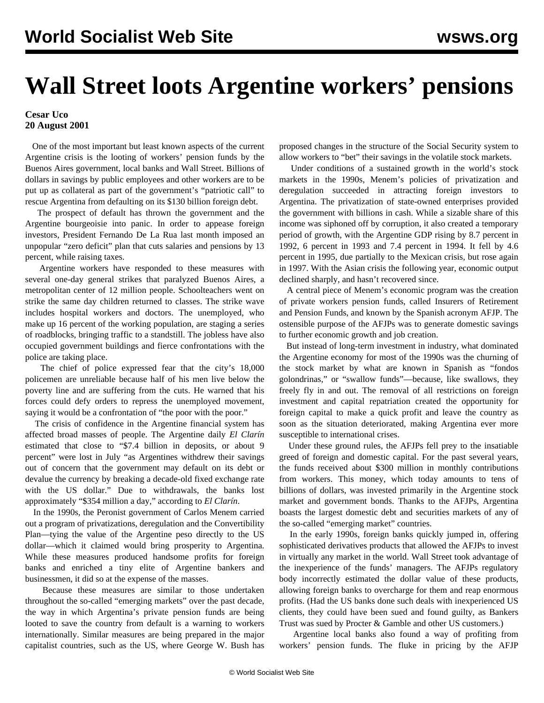## **Wall Street loots Argentine workers' pensions**

## **Cesar Uco 20 August 2001**

 One of the most important but least known aspects of the current Argentine crisis is the looting of workers' pension funds by the Buenos Aires government, local banks and Wall Street. Billions of dollars in savings by public employees and other workers are to be put up as collateral as part of the government's "patriotic call" to rescue Argentina from defaulting on its \$130 billion foreign debt.

 The prospect of default has thrown the government and the Argentine bourgeoisie into panic. In order to appease foreign investors, President Fernando De La Rua last month imposed an unpopular "zero deficit" plan that cuts salaries and pensions by 13 percent, while raising taxes.

 Argentine workers have responded to these measures with several one-day general strikes that paralyzed Buenos Aires, a metropolitan center of 12 million people. Schoolteachers went on strike the same day children returned to classes. The strike wave includes hospital workers and doctors. The unemployed, who make up 16 percent of the working population, are staging a series of roadblocks, bringing traffic to a standstill. The jobless have also occupied government buildings and fierce confrontations with the police are taking place.

 The chief of police expressed fear that the city's 18,000 policemen are unreliable because half of his men live below the poverty line and are suffering from the cuts. He warned that his forces could defy orders to repress the unemployed movement, saying it would be a confrontation of "the poor with the poor."

 The crisis of confidence in the Argentine financial system has affected broad masses of people. The Argentine daily *El Clarín* estimated that close to "\$7.4 billion in deposits, or about 9 percent" were lost in July "as Argentines withdrew their savings out of concern that the government may default on its debt or devalue the currency by breaking a decade-old fixed exchange rate with the US dollar." Due to withdrawals, the banks lost approximately "\$354 million a day," according to *El Clarín*.

 In the 1990s, the Peronist government of Carlos Menem carried out a program of privatizations, deregulation and the Convertibility Plan—tying the value of the Argentine peso directly to the US dollar—which it claimed would bring prosperity to Argentina. While these measures produced handsome profits for foreign banks and enriched a tiny elite of Argentine bankers and businessmen, it did so at the expense of the masses.

 Because these measures are similar to those undertaken throughout the so-called "emerging markets" over the past decade, the way in which Argentina's private pension funds are being looted to save the country from default is a warning to workers internationally. Similar measures are being prepared in the major capitalist countries, such as the US, where George W. Bush has

proposed changes in the structure of the Social Security system to allow workers to "bet" their savings in the volatile stock markets.

 Under conditions of a sustained growth in the world's stock markets in the 1990s, Menem's policies of privatization and deregulation succeeded in attracting foreign investors to Argentina. The privatization of state-owned enterprises provided the government with billions in cash. While a sizable share of this income was siphoned off by corruption, it also created a temporary period of growth, with the Argentine GDP rising by 8.7 percent in 1992, 6 percent in 1993 and 7.4 percent in 1994. It fell by 4.6 percent in 1995, due partially to the Mexican crisis, but rose again in 1997. With the Asian crisis the following year, economic output declined sharply, and hasn't recovered since.

 A central piece of Menem's economic program was the creation of private workers pension funds, called Insurers of Retirement and Pension Funds, and known by the Spanish acronym AFJP. The ostensible purpose of the AFJPs was to generate domestic savings to further economic growth and job creation.

 But instead of long-term investment in industry, what dominated the Argentine economy for most of the 1990s was the churning of the stock market by what are known in Spanish as "fondos golondrinas," or "swallow funds"—because, like swallows, they freely fly in and out. The removal of all restrictions on foreign investment and capital repatriation created the opportunity for foreign capital to make a quick profit and leave the country as soon as the situation deteriorated, making Argentina ever more susceptible to international crises.

 Under these ground rules, the AFJPs fell prey to the insatiable greed of foreign and domestic capital. For the past several years, the funds received about \$300 million in monthly contributions from workers. This money, which today amounts to tens of billions of dollars, was invested primarily in the Argentine stock market and government bonds. Thanks to the AFJPs, Argentina boasts the largest domestic debt and securities markets of any of the so-called "emerging market" countries.

 In the early 1990s, foreign banks quickly jumped in, offering sophisticated derivatives products that allowed the AFJPs to invest in virtually any market in the world. Wall Street took advantage of the inexperience of the funds' managers. The AFJPs regulatory body incorrectly estimated the dollar value of these products, allowing foreign banks to overcharge for them and reap enormous profits. (Had the US banks done such deals with inexperienced US clients, they could have been sued and found guilty, as Bankers Trust was sued by Procter & Gamble and other US customers.)

 Argentine local banks also found a way of profiting from workers' pension funds. The fluke in pricing by the AFJP